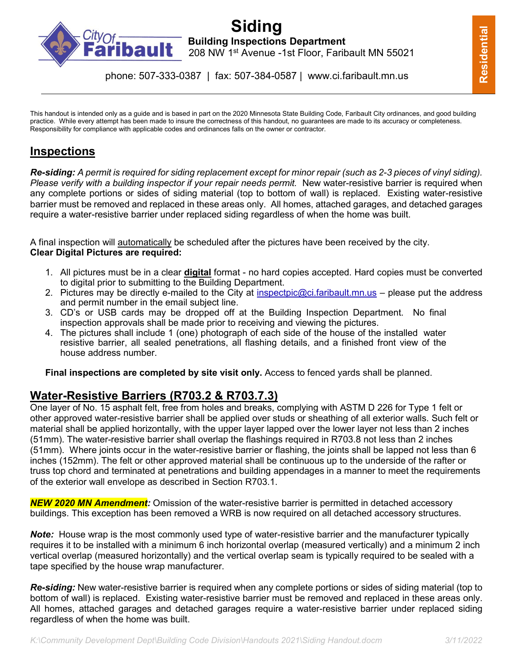

# **Fibault** Building Inspections Department<br>**Fibault** 208 NW 1<sup>st</sup> Avenue -1st Floor, Farib 208 NW 1st Avenue -1st Floor, Faribault MN 55021

phone: 507-333-0387 | fax: 507-384-0587 | www.ci.faribault.mn.us

This handout is intended only as a guide and is based in part on the 2020 Minnesota State Building Code, Faribault City ordinances, and good building practice. While every attempt has been made to insure the correctness of this handout, no guarantees are made to its accuracy or completeness. Responsibility for compliance with applicable codes and ordinances falls on the owner or contractor.

### **Inspections**

*Re-siding: A permit is required for siding replacement except for minor repair (such as 2-3 pieces of vinyl siding). Please verify with a building inspector if your repair needs permit.* New water-resistive barrier is required when any complete portions or sides of siding material (top to bottom of wall) is replaced. Existing water-resistive barrier must be removed and replaced in these areas only. All homes, attached garages, and detached garages require a water-resistive barrier under replaced siding regardless of when the home was built.

A final inspection will automatically be scheduled after the pictures have been received by the city. **Clear Digital Pictures are required:**

- 1. All pictures must be in a clear **digital** format no hard copies accepted. Hard copies must be converted to digital prior to submitting to the Building Department.
- 2. Pictures may be directly e-mailed to the City at [inspectpic@ci.faribault.mn.us](mailto:inspectpic@ci.faribault.mn.us) please put the address and permit number in the email subject line.
- 3. CD's or USB cards may be dropped off at the Building Inspection Department. No final inspection approvals shall be made prior to receiving and viewing the pictures.
- 4. The pictures shall include 1 (one) photograph of each side of the house of the installed water resistive barrier, all sealed penetrations, all flashing details, and a finished front view of the house address number.

**Final inspections are completed by site visit only.** Access to fenced yards shall be planned.

## **Water-Resistive Barriers (R703.2 & R703.7.3)**

One layer of No. 15 asphalt felt, free from holes and breaks, complying with ASTM D 226 for Type 1 felt or other approved water-resistive barrier shall be applied over studs or sheathing of all exterior walls. Such felt or material shall be applied horizontally, with the upper layer lapped over the lower layer not less than 2 inches (51mm). The water-resistive barrier shall overlap the flashings required in R703.8 not less than 2 inches (51mm). Where joints occur in the water-resistive barrier or flashing, the joints shall be lapped not less than 6 inches (152mm). The felt or other approved material shall be continuous up to the underside of the rafter or truss top chord and terminated at penetrations and building appendages in a manner to meet the requirements of the exterior wall envelope as described in Section R703.1.

*NEW 2020 MN Amendment:* Omission of the water-resistive barrier is permitted in detached accessory buildings. This exception has been removed a WRB is now required on all detached accessory structures.

*Note:* House wrap is the most commonly used type of water-resistive barrier and the manufacturer typically requires it to be installed with a minimum 6 inch horizontal overlap (measured vertically) and a minimum 2 inch vertical overlap (measured horizontally) and the vertical overlap seam is typically required to be sealed with a tape specified by the house wrap manufacturer.

*Re-siding:* New water-resistive barrier is required when any complete portions or sides of siding material (top to bottom of wall) is replaced. Existing water-resistive barrier must be removed and replaced in these areas only. All homes, attached garages and detached garages require a water-resistive barrier under replaced siding regardless of when the home was built.